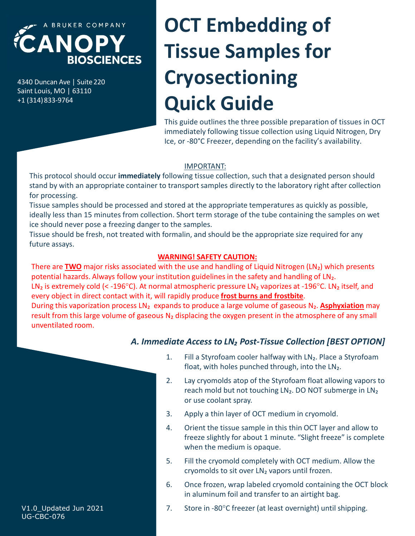

+1 (314)833-9764

# **CANOPY**<br>
BIOSCIENCES<br>
BIOSCIENCES<br>
SANOPY TISSUE Samples for Samples for Samples of Cryosectioning<br>
HARANOPY TISSUE Samples for Samples for Samples of Cryosectioning<br>
This guide outlines the three possible prepara CANOPY<br>
BIOSCIENCES<br>
ABRUKER COMPANY<br>
BIOSCIENCES<br>
Saint Louis, MO | 63110<br>
+1 (314) 833-9764<br>
This guide outlines the three possible<br>
This guide outlines the three possible<br>
This guide outlines the three possible<br>
Innegat OCT Embedding of Tissue Samples for Cryosectioning Quick Guide

This guide outlines the three possible preparation of tissues in OCT immediately following tissue collection using Liquid Nitrogen, Dry Ice, or -80°C Freezer, depending on the facility's availability.

#### IMPORTANT:

This protocol should occur immediately following tissue collection, such that a designated person should stand by with an appropriate container to transport samples directly to the laboratory right after collection for processing.

Tissue samples should be processed and stored at the appropriate temperatures as quickly as possible, ideally less than 15 minutes from collection. Short term storage of the tube containing the samples on wet ice should never pose a freezing danger to the samples.

Tissue should be fresh, not treated with formalin, and should be the appropriate size required for any future assays.

### WARNING! SAFETY CAUTION:

tamsport samples ancety to the taboratory right after concetion<br>tored at the appropriate temperatures as quickly as possible,<br>on. Short term storage of the tube containing the samples on wet<br>of the samples.<br>
Formalin, and 2. Short term storage of the tube containing the samples on wet<br>
2. It is amples.<br>
Demandin, and should be the appropriate size required for any<br>
1. ARNINGI SAFETY CAUTION:<br>
2. The two and handling of Liquid Nitrogen (LN<sub></sub> **ARNING! SAFETY CAUTION:**<br>
th the use and handling of Liquid Nitrogen (LN<sub>2</sub>) which presents<br>
titution guidelines in the safety and handling of LN<sub>2</sub>.<br>
al atmospheric pressure LN<sub>2</sub> vaporizes at -196<sup>o</sup>C. LN<sub>2</sub> itself, an **EXECT CHOUTATE:**<br>
A the use and handling of Liquid Nitrogen (LN<sub>2</sub>) which presents<br>
titution guidelines in the safety and handling of LN<sub>2</sub>.<br>
al atmospheric pressure LN<sub>2</sub> vaporizes at -196°C. LN<sub>2</sub> itself, and<br>
rapidly There are TWO major risks associated with the use and handling of Liquid Nitrogen (LN2) which presents potential hazards. Always follow your institution guidelines in the safety and handling of LN2. LN<sub>2</sub> is extremely cold (< -196°C). At normal atmospheric pressure LN<sub>2</sub> vaporizes at -196°C. LN<sub>2</sub> itself, and

rapidly produce **frost burns and frostbite**.<br> **Solution** and to produce a large volume of gaseous  $N_2$ . **Asphyxiation** may<br> **N<sub>2</sub>** displacing the oxygen present in the atmosphere of any small<br> **Solution Example Example** every object in direct contact with it, will rapidly produce frost burns and frostbite.<br>During this vaporization process LN<sub>2</sub> expands to produce a large volume of gaseous N<sub>2</sub>. Asphyxiation may result from this large volume of gaseous  $N_2$  displacing the oxygen present in the atmosphere of any small unventilated room.

# A. Immediate Access to LN<sub>2</sub> Post-Tissue Collection [BEST OPTION]

- float, with holes punched through, into the LN2.
- reach mold but not touching LN<sub>2</sub>. DO NOT submerge in LN<sub>2</sub> or use coolant spray.
- 
- freeze slightly for about 1 minute. "Slight freeze" is complete when the medium is opaque. N<sub>2</sub> displacing the oxygen present in the atmosphere of any small<br> **diate Access to LN<sub>2</sub> Post-Tissue Collection [BEST OPTION]**<br>
1. Fill a Styrofoam cooler halfway with LN<sub>2</sub>. Place a Styrofoam<br>
float, with holes punched **diate Access to LN<sub>2</sub> Post-Tissue Collection [BEST OPTION]**<br>
1. Fill a Styrofoam cooler halfway with LN<sub>2</sub>. Place a Styrofoam<br>
float, with holes punched through, into the LN<sub>2</sub>.<br>
2. Lay cryomolds atop of the Styrofoam fl
- cryomolds to sit over LN₂ vapors until frozen.
- in aluminum foil and transfer to an airtight bag.
- V1.0\_Updated Jun 2021 7. Store in -80°C freezer (at least overnight) until shipping.

UG-CBC-076